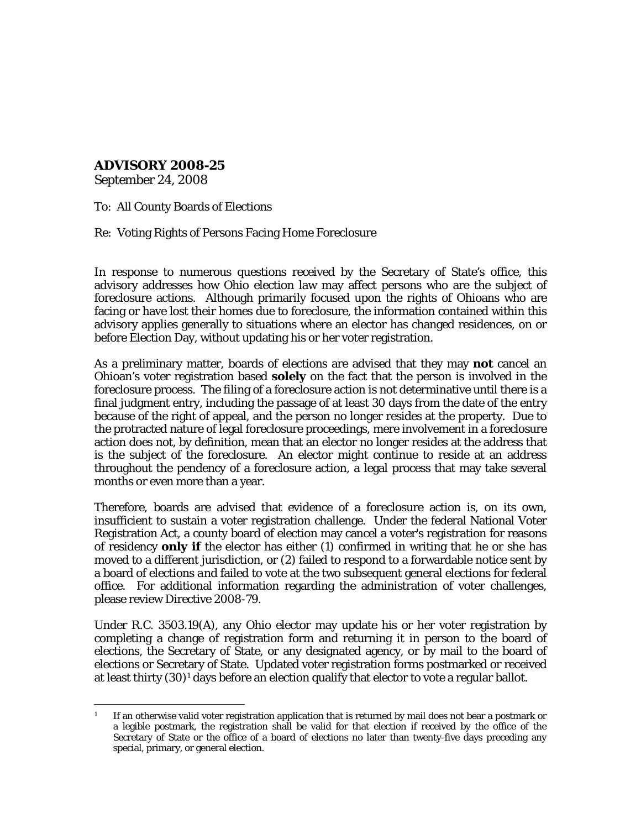**ADVISORY 2008-25**

September 24, 2008

To: All County Boards of Elections

Re: Voting Rights of Persons Facing Home Foreclosure

In response to numerous questions received by the Secretary of State's office, this advisory addresses how Ohio election law may affect persons who are the subject of foreclosure actions. Although primarily focused upon the rights of Ohioans who are facing or have lost their homes due to foreclosure, the information contained within this advisory applies generally to situations where an elector has changed residences, on or before Election Day, without updating his or her voter registration.

As a preliminary matter, boards of elections are advised that they may **not** cancel an Ohioan's voter registration based **solely** on the fact that the person is involved in the foreclosure process. The filing of a foreclosure action is not determinative until there is a final judgment entry, including the passage of at least 30 days from the date of the entry because of the right of appeal, and the person no longer resides at the property. Due to the protracted nature of legal foreclosure proceedings, mere involvement in a foreclosure action does not, by definition, mean that an elector no longer resides at the address that is the subject of the foreclosure. An elector might continue to reside at an address throughout the pendency of a foreclosure action, a legal process that may take several months or even more than a year.

Therefore, boards are advised that evidence of a foreclosure action is, on its own, insufficient to sustain a voter registration challenge. Under the federal National Voter Registration Act, a county board of election may cancel a voter's registration for reasons of residency **only if** the elector has either (1) confirmed in writing that he or she has moved to a different jurisdiction, or (2) failed to respond to a forwardable notice sent by a board of elections *and* failed to vote at the two subsequent general elections for federal office. For additional information regarding the administration of voter challenges, please review Directive 2008-79.

Under R.C. 3503.19(A), any Ohio elector may update his or her voter registration by completing a change of registration form and returning it in person to the board of elections, the Secretary of State, or any designated agency, or by mail to the board of elections or Secretary of State. Updated voter registration forms postmarked or received at least thirty  $(30)^1$  $(30)^1$  days before an election qualify that elector to vote a regular ballot.

<span id="page-0-0"></span><sup>÷,</sup> If an otherwise valid voter registration application that is returned by mail does not bear a postmark or a legible postmark, the registration shall be valid for that election if received by the office of the Secretary of State or the office of a board of elections no later than twenty-five days preceding any special, primary, or general election.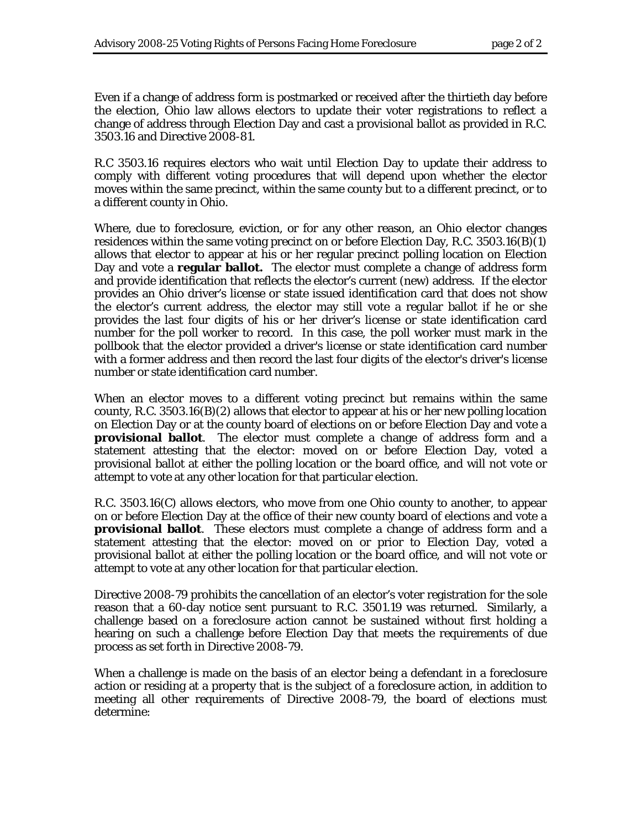Even if a change of address form is postmarked or received after the thirtieth day before the election, Ohio law allows electors to update their voter registrations to reflect a change of address through Election Day and cast a provisional ballot as provided in R.C. 3503.16 and Directive 2008-81.

R.C 3503.16 requires electors who wait until Election Day to update their address to comply with different voting procedures that will depend upon whether the elector moves within the same precinct, within the same county but to a different precinct, or to a different county in Ohio.

Where, due to foreclosure, eviction, or for any other reason, an Ohio elector changes residences within the same voting precinct on or before Election Day, R.C. 3503.16(B)(1) allows that elector to appear at his or her regular precinct polling location on Election Day and vote a **regular ballot.** The elector must complete a change of address form and provide identification that reflects the elector's current (new) address. If the elector provides an Ohio driver's license or state issued identification card that does not show the elector's current address, the elector may still vote a regular ballot if he or she provides the last four digits of his or her driver's license or state identification card number for the poll worker to record. In this case, the poll worker must mark in the pollbook that the elector provided a driver's license or state identification card number with a former address and then record the last four digits of the elector's driver's license number or state identification card number.

When an elector moves to a different voting precinct but remains within the same county, R.C. 3503.16(B)(2) allows that elector to appear at his or her new polling location on Election Day or at the county board of elections on or before Election Day and vote a **provisional ballot**. The elector must complete a change of address form and a statement attesting that the elector: moved on or before Election Day, voted a provisional ballot at either the polling location or the board office, and will not vote or attempt to vote at any other location for that particular election.

R.C. 3503.16(C) allows electors, who move from one Ohio county to another, to appear on or before Election Day at the office of their new county board of elections and vote a **provisional ballot**. These electors must complete a change of address form and a statement attesting that the elector: moved on or prior to Election Day, voted a provisional ballot at either the polling location or the board office, and will not vote or attempt to vote at any other location for that particular election.

Directive 2008-79 prohibits the cancellation of an elector's voter registration for the sole reason that a 60-day notice sent pursuant to R.C. 3501.19 was returned. Similarly, a challenge based on a foreclosure action cannot be sustained without first holding a hearing on such a challenge before Election Day that meets the requirements of due process as set forth in Directive 2008-79.

When a challenge is made on the basis of an elector being a defendant in a foreclosure action or residing at a property that is the subject of a foreclosure action, in addition to meeting all other requirements of Directive 2008-79, the board of elections must determine: